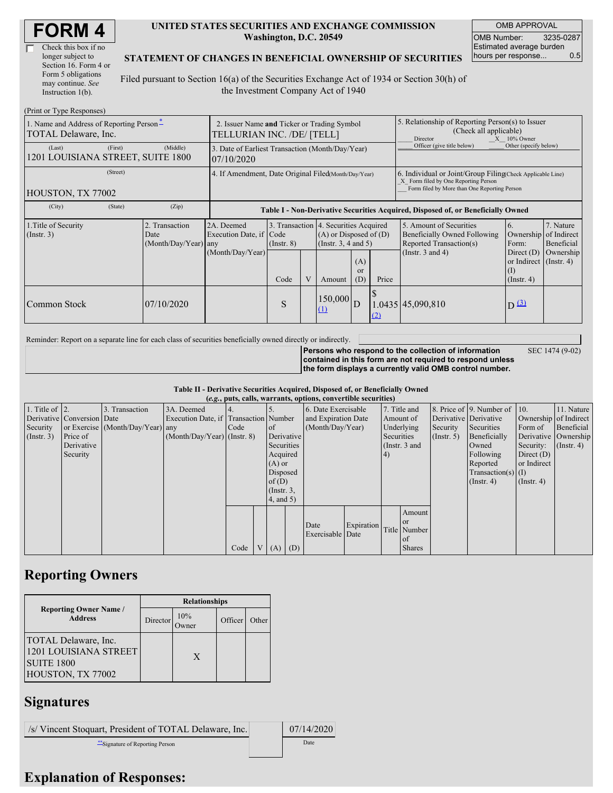| Check this box if no  |
|-----------------------|
| longer subject to     |
| Section 16. Form 4 or |
| Form 5 obligations    |
| may continue. See     |
| Instruction 1(b).     |

#### **UNITED STATES SECURITIES AND EXCHANGE COMMISSION Washington, D.C. 20549**

OMB APPROVAL OMB Number: 3235-0287 Estimated average burden hours per response... 0.5

SEC 1474 (9-02)

#### **STATEMENT OF CHANGES IN BENEFICIAL OWNERSHIP OF SECURITIES**

Filed pursuant to Section 16(a) of the Securities Exchange Act of 1934 or Section 30(h) of the Investment Company Act of 1940

| (Print or Type Responses)                                        |                                                                           |                                        |                                                                                  |                 |  |                                                                                                 |                                                                                                                                                    |       |                                                                                    |                                                                            |                         |
|------------------------------------------------------------------|---------------------------------------------------------------------------|----------------------------------------|----------------------------------------------------------------------------------|-----------------|--|-------------------------------------------------------------------------------------------------|----------------------------------------------------------------------------------------------------------------------------------------------------|-------|------------------------------------------------------------------------------------|----------------------------------------------------------------------------|-------------------------|
| 1. Name and Address of Reporting Person-<br>TOTAL Delaware, Inc. | 2. Issuer Name and Ticker or Trading Symbol<br>TELLURIAN INC. /DE/ [TELL] |                                        |                                                                                  |                 |  |                                                                                                 | 5. Relationship of Reporting Person(s) to Issuer<br>(Check all applicable)<br>$X = 10\%$ Owner<br>Director                                         |       |                                                                                    |                                                                            |                         |
| (Last)<br>1201 LOUISIANA STREET, SUITE 1800                      | (First)                                                                   | (Middle)                               | 3. Date of Earliest Transaction (Month/Day/Year)<br>07/10/2020                   |                 |  |                                                                                                 |                                                                                                                                                    |       | Officer (give title below)                                                         | Other (specify below)                                                      |                         |
| HOUSTON, TX 77002                                                | 4. If Amendment, Date Original Filed (Month/Day/Year)                     |                                        |                                                                                  |                 |  |                                                                                                 | 6. Individual or Joint/Group Filing Check Applicable Line)<br>X Form filed by One Reporting Person<br>Form filed by More than One Reporting Person |       |                                                                                    |                                                                            |                         |
| (City)                                                           | (State)                                                                   | (Zip)                                  | Table I - Non-Derivative Securities Acquired, Disposed of, or Beneficially Owned |                 |  |                                                                                                 |                                                                                                                                                    |       |                                                                                    |                                                                            |                         |
| 1. Title of Security<br>$($ Instr. 3 $)$<br>Date                 |                                                                           | 2. Transaction<br>(Month/Day/Year) any | 2A. Deemed<br>Execution Date, if Code                                            | $($ Instr. $8)$ |  | 3. Transaction 4. Securities Acquired<br>$(A)$ or Disposed of $(D)$<br>(Instr. $3, 4$ and $5$ ) |                                                                                                                                                    |       | 5. Amount of Securities<br>Beneficially Owned Following<br>Reported Transaction(s) | 6.<br>Ownership of Indirect<br>Form:                                       | 7. Nature<br>Beneficial |
|                                                                  |                                                                           |                                        | (Month/Day/Year)                                                                 | Code            |  | Amount                                                                                          | (A)<br><sub>or</sub><br>(D)                                                                                                                        | Price | (Instr. $3$ and $4$ )                                                              | Direct $(D)$<br>or Indirect $($ Instr. 4 $)$<br>$($ I)<br>$($ Instr. 4 $)$ | Ownership               |
| Common Stock                                                     |                                                                           | 07/10/2020                             |                                                                                  | S               |  | $150,000$ D<br>(1)                                                                              |                                                                                                                                                    | (2)   | $.0435$ 45,090,810                                                                 | D(3)                                                                       |                         |

Reminder: Report on a separate line for each class of securities beneficially owned directly or indirectly.

**Persons who respond to the collection of information contained in this form are not required to respond unless the form displays a currently valid OMB control number.**

**Table II - Derivative Securities Acquired, Disposed of, or Beneficially Owned**

| (e.g., puts, calls, warrants, options, convertible securities) |                            |                                  |                                       |      |  |                 |            |                     |                     |                 |               |                      |                              |              |                       |
|----------------------------------------------------------------|----------------------------|----------------------------------|---------------------------------------|------|--|-----------------|------------|---------------------|---------------------|-----------------|---------------|----------------------|------------------------------|--------------|-----------------------|
| 1. Title of $\vert$ 2.                                         |                            | 3. Transaction                   | 3A. Deemed                            |      |  |                 |            |                     | 6. Date Exercisable |                 | 7. Title and  |                      | 8. Price of 9. Number of 10. |              | 11. Nature            |
|                                                                | Derivative Conversion Date |                                  | Execution Date, if Transaction Number |      |  |                 |            | and Expiration Date |                     |                 | Amount of     |                      | Derivative Derivative        |              | Ownership of Indirect |
| Security                                                       |                            | or Exercise (Month/Day/Year) any |                                       | Code |  | of              |            | (Month/Day/Year)    |                     | Underlying      |               | Security             | Securities                   | Form of      | Beneficial            |
| $($ Instr. 3 $)$                                               | Price of                   |                                  | $(Month/Day/Year)$ (Instr. 8)         |      |  |                 | Derivative |                     |                     | Securities      |               | $($ Instr. 5)        | Beneficially                 |              | Derivative Ownership  |
|                                                                | Derivative                 |                                  |                                       |      |  | Securities      |            |                     |                     | (Instr. $3$ and |               |                      | Owned                        | Security:    | $($ Instr. 4 $)$      |
|                                                                | Security                   |                                  |                                       |      |  | Acquired        |            |                     |                     | 4)              |               |                      | Following                    | Direct $(D)$ |                       |
|                                                                |                            |                                  |                                       |      |  | $(A)$ or        |            |                     |                     |                 |               |                      | Reported                     | or Indirect  |                       |
|                                                                |                            |                                  |                                       |      |  | Disposed        |            |                     |                     |                 |               | $Transaction(s)$ (I) |                              |              |                       |
|                                                                |                            |                                  |                                       |      |  | of(D)           |            |                     |                     |                 |               | $($ Instr. 4 $)$     | $($ Instr. 4)                |              |                       |
|                                                                |                            |                                  |                                       |      |  | $($ Instr. $3,$ |            |                     |                     |                 |               |                      |                              |              |                       |
|                                                                |                            |                                  |                                       |      |  | $4$ , and $5$ ) |            |                     |                     |                 |               |                      |                              |              |                       |
|                                                                |                            |                                  |                                       |      |  |                 |            |                     |                     |                 | Amount        |                      |                              |              |                       |
|                                                                |                            |                                  |                                       |      |  |                 |            |                     |                     |                 | <b>or</b>     |                      |                              |              |                       |
|                                                                |                            |                                  |                                       |      |  |                 |            | Date                | Expiration          |                 | Title Number  |                      |                              |              |                       |
|                                                                |                            |                                  |                                       |      |  |                 |            | Exercisable Date    |                     |                 | <sub>of</sub> |                      |                              |              |                       |
|                                                                |                            |                                  |                                       | Code |  | V(A)            | (D)        |                     |                     |                 | <b>Shares</b> |                      |                              |              |                       |

## **Reporting Owners**

|                                                                                         | <b>Relationships</b> |             |         |       |  |  |  |
|-----------------------------------------------------------------------------------------|----------------------|-------------|---------|-------|--|--|--|
| <b>Reporting Owner Name /</b><br><b>Address</b>                                         | Director             | 10%<br>wner | Officer | Other |  |  |  |
| TOTAL Delaware, Inc.<br>1201 LOUISIANA STREET<br><b>SUITE 1800</b><br>HOUSTON, TX 77002 |                      | X           |         |       |  |  |  |

# **Signatures**

| /s/ Vincent Stoquart, President of TOTAL Delaware, Inc. | 07/14/2020 |
|---------------------------------------------------------|------------|
| Signature of Reporting Person                           | Date       |

## **Explanation of Responses:**